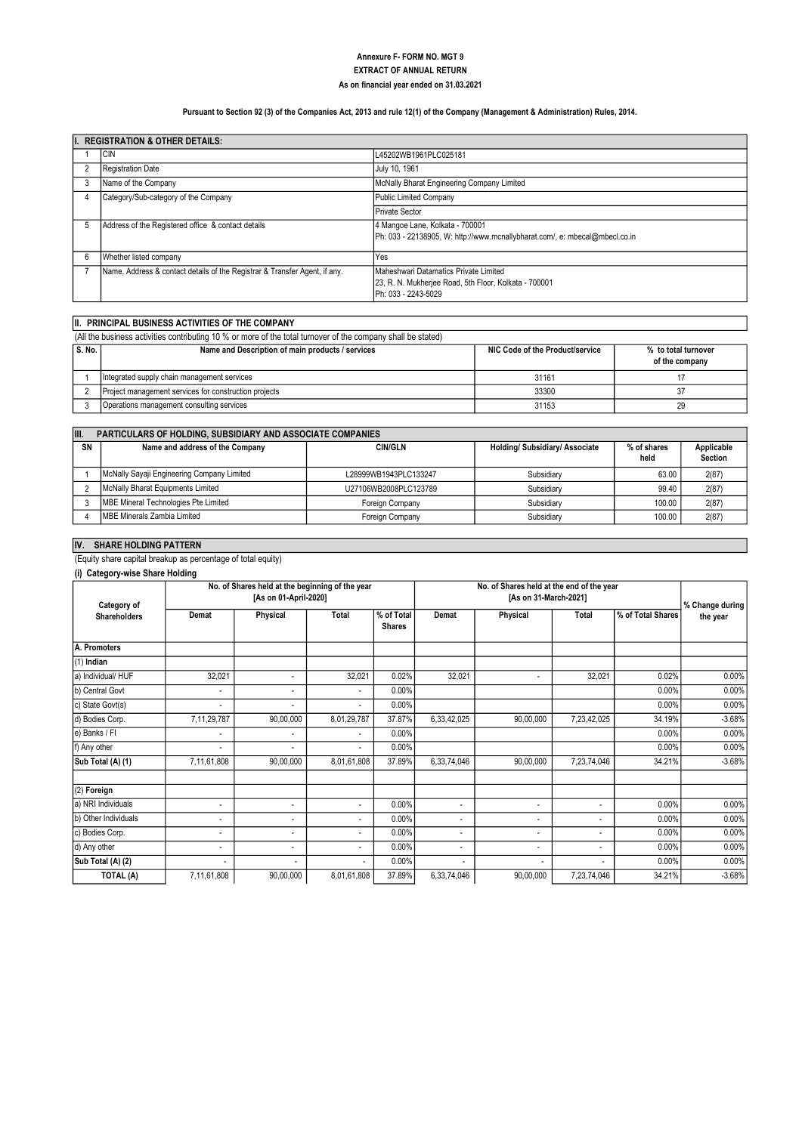#### As on financial year ended on 31.03.2021 EXTRACT OF ANNUAL RETURN Annexure F- FORM NO. MGT 9

### Pursuant to Section 92 (3) of the Companies Act, 2013 and rule 12(1) of the Company (Management & Administration) Rules, 2014.

|    | <b>REGISTRATION &amp; OTHER DETAILS:</b>                                   |                                                                                                                       |  |  |  |  |  |  |  |
|----|----------------------------------------------------------------------------|-----------------------------------------------------------------------------------------------------------------------|--|--|--|--|--|--|--|
|    | <b>CIN</b>                                                                 | L45202WB1961PLC025181                                                                                                 |  |  |  |  |  |  |  |
|    | <b>Registration Date</b>                                                   | July 10, 1961                                                                                                         |  |  |  |  |  |  |  |
| 3  | Name of the Company                                                        | McNally Bharat Engineering Company Limited                                                                            |  |  |  |  |  |  |  |
|    | Category/Sub-category of the Company                                       | Public Limited Company                                                                                                |  |  |  |  |  |  |  |
|    |                                                                            | <b>Private Sector</b>                                                                                                 |  |  |  |  |  |  |  |
| -5 | Address of the Registered office & contact details                         | 4 Mangoe Lane, Kolkata - 700001<br>Ph: 033 - 22138905, W: http://www.mcnallybharat.com/, e: mbecal@mbecl.co.in        |  |  |  |  |  |  |  |
| 6  | Whether listed company                                                     | Yes                                                                                                                   |  |  |  |  |  |  |  |
|    | Name, Address & contact details of the Registrar & Transfer Agent, if any. | Maheshwari Datamatics Private Limited<br>23, R. N. Mukherjee Road, 5th Floor, Kolkata - 700001<br>Ph: 033 - 2243-5029 |  |  |  |  |  |  |  |

# II. PRINCIPAL BUSINESS ACTIVITIES OF THE COMPANY

(All the business activities contributing 10 % or more of the total turnover of the company shall be stated)

| l S. No. | Name and Description of main products / services      | NIC Code of the Product/service | % to total turnover<br>of the company |
|----------|-------------------------------------------------------|---------------------------------|---------------------------------------|
|          | Integrated supply chain management services           | 31161                           |                                       |
|          | Project management services for construction projects | 33300                           |                                       |
|          | Operations management consulting services             | 31153                           | 29                                    |

| III. | <b>PARTICULARS OF HOLDING, SUBSIDIARY AND ASSOCIATE COMPANIES</b> |                       |                              |                     |                              |  |  |  |  |  |  |  |
|------|-------------------------------------------------------------------|-----------------------|------------------------------|---------------------|------------------------------|--|--|--|--|--|--|--|
| SN   | Name and address of the Company                                   | <b>CIN/GLN</b>        | Holding/Subsidiary/Associate | % of shares<br>held | Applicable<br><b>Section</b> |  |  |  |  |  |  |  |
|      | McNally Sayaji Engineering Company Limited                        | L28999WB1943PLC133247 | Subsidiary                   | 63.00               | 2(87)                        |  |  |  |  |  |  |  |
|      | McNally Bharat Equipments Limited                                 | U27106WB2008PLC123789 | Subsidiary                   | 99.40               | 2(87)                        |  |  |  |  |  |  |  |
|      | MBE Mineral Technologies Pte Limited                              | Foreign Company       | Subsidiary                   | 100.00              | 2(87)                        |  |  |  |  |  |  |  |
|      | <b>IMBE Minerals Zambia Limited</b>                               | Foreign Company       | Subsidiary                   | 100.00              | 2(87)                        |  |  |  |  |  |  |  |

# IV. SHARE HOLDING PATTERN

(Equity share capital breakup as percentage of total equity)

### (i) Category-wise Share Holding

| Category of          |                          | No. of Shares held at the beginning of the year<br>[As on 01-April-2020] | No. of Shares held at the end of the year<br>[As on 31-March-2021] |                             |                          |                          | % Change during          |                   |          |
|----------------------|--------------------------|--------------------------------------------------------------------------|--------------------------------------------------------------------|-----------------------------|--------------------------|--------------------------|--------------------------|-------------------|----------|
| <b>Shareholders</b>  | Demat                    | Physical                                                                 | Total                                                              | % of Total<br><b>Shares</b> | Demat                    | Physical                 | Total                    | % of Total Shares | the year |
| A. Promoters         |                          |                                                                          |                                                                    |                             |                          |                          |                          |                   |          |
| (1) Indian           |                          |                                                                          |                                                                    |                             |                          |                          |                          |                   |          |
| a) Individual/HUF    | 32,021                   | $\overline{\phantom{a}}$                                                 | 32,021                                                             | 0.02%                       | 32,021                   | $\overline{\phantom{a}}$ | 32,021                   | 0.02%             | 0.00%    |
| b) Central Govt      |                          | $\overline{\phantom{a}}$                                                 |                                                                    | 0.00%                       |                          |                          |                          | 0.00%             | 0.00%    |
| c) State Govt(s)     | $\overline{\phantom{a}}$ | $\overline{\phantom{a}}$                                                 | $\overline{\phantom{a}}$                                           | 0.00%                       |                          |                          |                          | 0.00%             | $0.00\%$ |
| d) Bodies Corp.      | 7,11,29,787              | 90,00,000                                                                | 8,01,29,787                                                        | 37.87%                      | 6,33,42,025              | 90,00,000                | 7,23,42,025              | 34.19%            | $-3.68%$ |
| e) Banks / FI        | $\overline{\phantom{a}}$ | $\overline{\phantom{a}}$                                                 |                                                                    | 0.00%                       |                          |                          |                          | 0.00%             | $0.00\%$ |
| f) Any other         |                          |                                                                          |                                                                    | 0.00%                       |                          |                          |                          | 0.00%             | 0.00%    |
| Sub Total (A) (1)    | 7,11,61,808              | 90,00,000                                                                | 8,01,61,808                                                        | 37.89%                      | 6,33,74,046              | 90,00,000                | 7,23,74,046              | 34.21%            | $-3.68%$ |
| (2) Foreign          |                          |                                                                          |                                                                    |                             |                          |                          |                          |                   |          |
| a) NRI Individuals   | $\overline{\phantom{a}}$ | $\overline{\phantom{a}}$                                                 |                                                                    | 0.00%                       | ٠                        | $\overline{\phantom{a}}$ | $\overline{\phantom{a}}$ | 0.00%             | $0.00\%$ |
| b) Other Individuals | $\overline{\phantom{a}}$ | $\overline{\phantom{a}}$                                                 |                                                                    | 0.00%                       | ٠                        | $\blacksquare$           | $\overline{\phantom{a}}$ | 0.00%             | $0.00\%$ |
| c) Bodies Corp.      |                          | $\overline{\phantom{a}}$                                                 |                                                                    | 0.00%                       | ٠                        | $\overline{\phantom{a}}$ | $\overline{\phantom{a}}$ | 0.00%             | 0.00%    |
| d) Any other         | $\overline{\phantom{a}}$ | $\overline{\phantom{a}}$                                                 |                                                                    | 0.00%                       | -                        | $\overline{\phantom{a}}$ | $\overline{\phantom{a}}$ | 0.00%             | $0.00\%$ |
| Sub Total (A) (2)    |                          |                                                                          | $\overline{\phantom{a}}$                                           | 0.00%                       | $\overline{\phantom{a}}$ |                          |                          | 0.00%             | $0.00\%$ |
| TOTAL (A)            | 7,11,61,808              | 90,00,000                                                                | 8,01,61,808                                                        | 37.89%                      | 6,33,74,046              | 90,00,000                | 7,23,74,046              | 34.21%            | $-3.68%$ |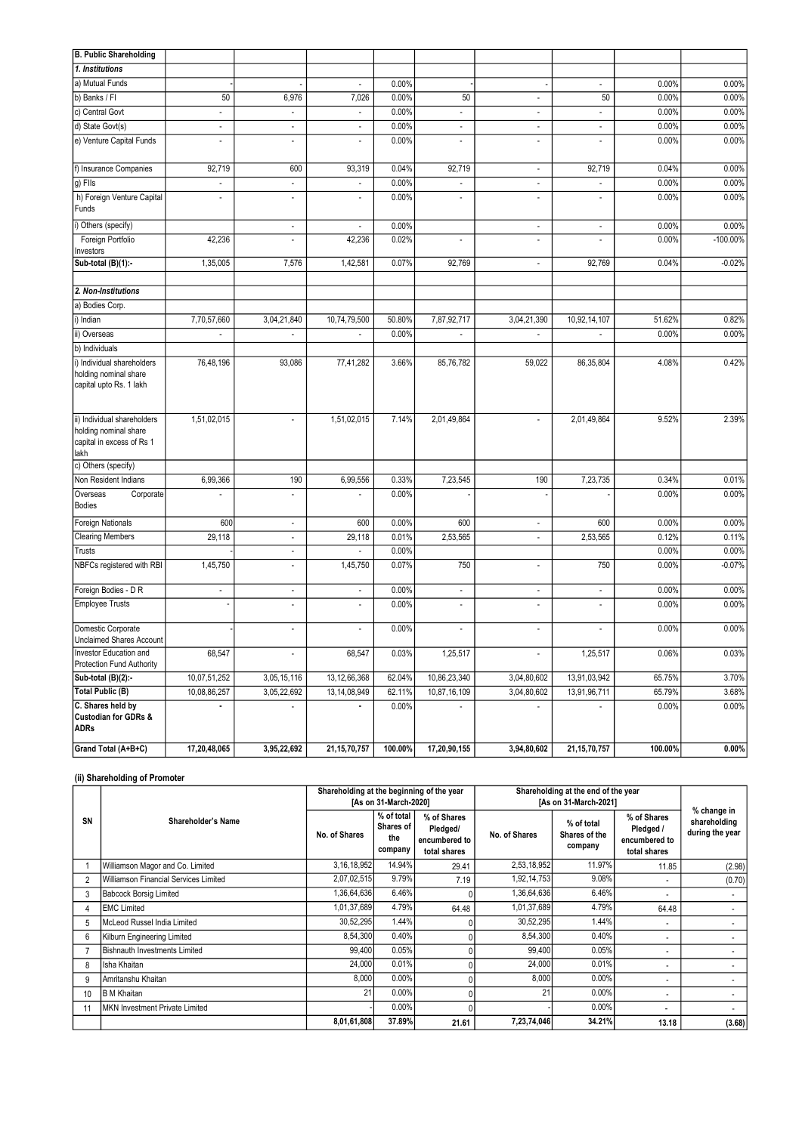| B. Public Shareholding                                                                    |                          |                          |                          |         |                          |                          |                          |         |             |
|-------------------------------------------------------------------------------------------|--------------------------|--------------------------|--------------------------|---------|--------------------------|--------------------------|--------------------------|---------|-------------|
| 1. Institutions                                                                           |                          |                          |                          |         |                          |                          |                          |         |             |
| a) Mutual Funds                                                                           |                          |                          | $\overline{a}$           | 0.00%   |                          |                          | $\overline{\phantom{a}}$ | 0.00%   | 0.00%       |
| b) Banks / FI                                                                             | 50                       | 6,976                    | 7,026                    | 0.00%   | 50                       | $\blacksquare$           | 50                       | 0.00%   | 0.00%       |
| c) Central Govt                                                                           | $\overline{a}$           | $\overline{\phantom{a}}$ |                          | 0.00%   | $\overline{\phantom{a}}$ | $\overline{\phantom{a}}$ | $\overline{a}$           | 0.00%   | 0.00%       |
| d) State Govt(s)                                                                          | $\overline{\phantom{a}}$ | $\overline{a}$           |                          | 0.00%   | $\overline{a}$           | $\blacksquare$           | $\overline{a}$           | 0.00%   | 0.00%       |
| e) Venture Capital Funds                                                                  | $\overline{a}$           | $\overline{a}$           |                          | 0.00%   | $\overline{a}$           |                          | ÷                        | 0.00%   | 0.00%       |
| f) Insurance Companies                                                                    | 92,719                   | 600                      | 93,319                   | 0.04%   | 92,719                   |                          | 92,719                   | 0.04%   | 0.00%       |
| g) Flls                                                                                   | $\overline{a}$           | $\overline{\phantom{a}}$ |                          | 0.00%   |                          | $\overline{\phantom{a}}$ |                          | 0.00%   | 0.00%       |
| h) Foreign Venture Capital<br>Funds                                                       | $\overline{a}$           | $\overline{a}$           |                          | 0.00%   | $\overline{a}$           | $\overline{\phantom{a}}$ | $\overline{a}$           | 0.00%   | 0.00%       |
| i) Others (specify)                                                                       |                          | $\overline{\phantom{a}}$ |                          | 0.00%   |                          | $\blacksquare$           | $\overline{\phantom{a}}$ | 0.00%   | 0.00%       |
| Foreign Portfolio<br>Investors                                                            | 42,236                   | $\overline{a}$           | 42,236                   | 0.02%   | $\overline{a}$           | $\overline{a}$           |                          | 0.00%   | $-100.00\%$ |
| Sub-total (B)(1):-                                                                        | 1,35,005                 | 7,576                    | 1,42,581                 | 0.07%   | 92,769                   | $\overline{a}$           | 92,769                   | 0.04%   | $-0.02%$    |
|                                                                                           |                          |                          |                          |         |                          |                          |                          |         |             |
| 2. Non-Institutions                                                                       |                          |                          |                          |         |                          |                          |                          |         |             |
| a) Bodies Corp.                                                                           |                          |                          |                          |         |                          |                          |                          |         |             |
| i) Indian                                                                                 | 7,70,57,660              | 3,04,21,840              | 10,74,79,500             | 50.80%  | 7,87,92,717              | 3,04,21,390              | 10,92,14,107             | 51.62%  | 0.82%       |
| ii) Overseas                                                                              | $\overline{\phantom{a}}$ | $\overline{\phantom{a}}$ | $\overline{\phantom{a}}$ | 0.00%   | $\overline{\phantom{a}}$ |                          | $\overline{\phantom{a}}$ | 0.00%   | 0.00%       |
| b) Individuals                                                                            |                          |                          |                          |         |                          |                          |                          |         |             |
| i) Individual shareholders<br>holding nominal share<br>capital upto Rs. 1 lakh            | 76,48,196                | 93,086                   | 77,41,282                | 3.66%   | 85,76,782                | 59,022                   | 86,35,804                | 4.08%   | 0.42%       |
| ii) Individual shareholders<br>holding nominal share<br>capital in excess of Rs 1<br>lakh | 1,51,02,015              | $\overline{a}$           | 1,51,02,015              | 7.14%   | 2,01,49,864              |                          | 2,01,49,864              | 9.52%   | 2.39%       |
| c) Others (specify)                                                                       |                          |                          |                          |         |                          |                          |                          |         |             |
| Non Resident Indians                                                                      | 6,99,366                 | 190                      | 6,99,556                 | 0.33%   | 7,23,545                 | 190                      | 7,23,735                 | 0.34%   | 0.01%       |
| Overseas<br>Corporate<br>Bodies                                                           |                          | $\overline{\phantom{a}}$ |                          | 0.00%   |                          |                          |                          | 0.00%   | 0.00%       |
| Foreign Nationals                                                                         | 600                      | $\overline{\phantom{a}}$ | 600                      | 0.00%   | 600                      | $\overline{\phantom{a}}$ | 600                      | 0.00%   | 0.00%       |
| <b>Clearing Members</b>                                                                   | 29,118                   | $\overline{\phantom{a}}$ | 29,118                   | 0.01%   | 2,53,565                 | $\blacksquare$           | 2,53,565                 | 0.12%   | 0.11%       |
| Trusts                                                                                    |                          | $\overline{\phantom{a}}$ |                          | 0.00%   |                          |                          |                          | 0.00%   | 0.00%       |
| NBFCs registered with RBI                                                                 | 1,45,750                 | $\overline{\phantom{a}}$ | 1,45,750                 | 0.07%   | 750                      | $\overline{\phantom{a}}$ | 750                      | 0.00%   | $-0.07%$    |
| Foreign Bodies - D R                                                                      | $\overline{a}$           | $\overline{a}$           | $\overline{\phantom{a}}$ | 0.00%   | $\overline{\phantom{a}}$ | $\blacksquare$           | $\overline{a}$           | 0.00%   | 0.00%       |
| Employee Trusts                                                                           |                          | $\overline{a}$           | $\overline{a}$           | 0.00%   |                          |                          | $\overline{a}$           | 0.00%   | 0.00%       |
| Domestic Corporate<br><b>Unclaimed Shares Account</b>                                     |                          | ÷                        |                          | 0.00%   |                          |                          |                          | 0.00%   | 0.00%       |
| Investor Education and<br>Protection Fund Authority                                       | 68,547                   |                          | 68,547                   | 0.03%   | 1,25,517                 |                          | 1,25,517                 | 0.06%   | 0.03%       |
| Sub-total (B)(2):-                                                                        | 10,07,51,252             | 3,05,15,116              | 13, 12, 66, 368          | 62.04%  | 10,86,23,340             | 3,04,80,602              | 13,91,03,942             | 65.75%  | 3.70%       |
| <b>Total Public (B)</b>                                                                   | 10,08,86,257             | 3,05,22,692              | 13, 14, 08, 949          | 62.11%  | 10,87,16,109             | 3,04,80,602              | 13,91,96,711             | 65.79%  | 3.68%       |
| C. Shares held by<br><b>Custodian for GDRs &amp;</b><br>ADRs                              |                          | $\overline{\phantom{a}}$ |                          | 0.00%   | $\overline{\phantom{a}}$ | $\blacksquare$           |                          | 0.00%   | 0.00%       |
| Grand Total (A+B+C)                                                                       | 17,20,48,065             | 3,95,22,692              | 21, 15, 70, 757          | 100.00% | 17,20,90,155             | 3,94,80,602              | 21, 15, 70, 757          | 100.00% | $0.00\%$    |

# (ii) Shareholding of Promoter

|    |                                        | Shareholding at the beginning of the year<br>[As on 31-March-2020] |                                           |                                                          | Shareholding at the end of the year<br>[As on 31-March-2021] | % change in                            |                                                           |                                 |
|----|----------------------------------------|--------------------------------------------------------------------|-------------------------------------------|----------------------------------------------------------|--------------------------------------------------------------|----------------------------------------|-----------------------------------------------------------|---------------------------------|
| SN | Shareholder's Name                     | No. of Shares                                                      | % of total<br>Shares of<br>the<br>company | % of Shares<br>Pledged/<br>encumbered to<br>total shares | No. of Shares                                                | % of total<br>Shares of the<br>company | % of Shares<br>Pledged /<br>encumbered to<br>total shares | shareholding<br>during the year |
|    | Williamson Magor and Co. Limited       | 3,16,18,952                                                        | 14.94%                                    | 29.41                                                    | 2,53,18,952                                                  | 11.97%                                 | 11.85                                                     | (2.98)                          |
|    | Williamson Financial Services Limited  | 2,07,02,515                                                        | 9.79%                                     | 7.19                                                     | 1,92,14,753                                                  | 9.08%                                  |                                                           | (0.70)                          |
| 3  | <b>Babcock Borsig Limited</b>          | 1,36,64,636                                                        | 6.46%                                     |                                                          | 1,36,64,636                                                  | 6.46%                                  |                                                           |                                 |
| 4  | <b>EMC Limited</b>                     | 1,01,37,689                                                        | 4.79%                                     | 64.48                                                    | 1,01,37,689                                                  | 4.79%                                  | 64.48                                                     |                                 |
| 5  | McLeod Russel India Limited            | 30,52,295                                                          | 1.44%                                     |                                                          | 30,52,295                                                    | 1.44%                                  | $\overline{\phantom{0}}$                                  |                                 |
| 6  | Kilburn Engineering Limited            | 8,54,300                                                           | 0.40%                                     |                                                          | 8,54,300                                                     | 0.40%                                  | ۰.                                                        |                                 |
|    | Bishnauth Investments Limited          | 99,400                                                             | 0.05%                                     |                                                          | 99,400                                                       | 0.05%                                  | $\overline{\phantom{0}}$                                  | $\sim$                          |
| 8  | Isha Khaitan                           | 24,000                                                             | 0.01%                                     |                                                          | 24.000                                                       | 0.01%                                  | $\overline{\phantom{0}}$                                  |                                 |
| 9  | Amritanshu Khaitan                     | 8,000                                                              | 0.00%                                     |                                                          | 8,000                                                        | $0.00\%$                               |                                                           |                                 |
| 10 | <b>B</b> M Khaitan                     | 21                                                                 | $0.00\%$                                  |                                                          | 21                                                           | 0.00%                                  | $\overline{\phantom{0}}$                                  |                                 |
|    | <b>IMKN Investment Private Limited</b> |                                                                    | $0.00\%$                                  | <sup>0</sup>                                             |                                                              | $0.00\%$                               | ٠                                                         |                                 |
|    |                                        | 8,01,61,808                                                        | 37.89%                                    | 21.61                                                    | 7,23,74,046                                                  | 34.21%                                 | 13.18                                                     | (3.68)                          |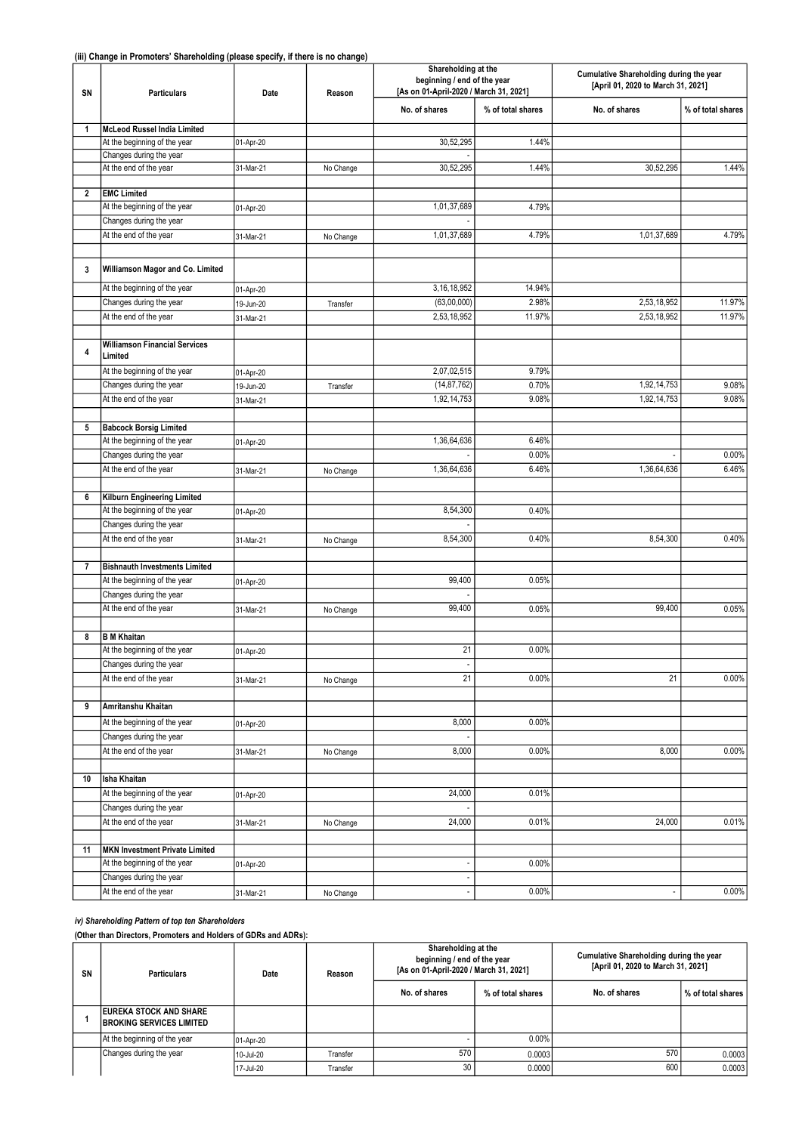| SN             | <b>Particulars</b>                                | Date      |           | Shareholding at the<br>beginning / end of the year<br>[As on 01-April-2020 / March 31, 2021] |                   | Cumulative Shareholding during the year<br>[April 01, 2020 to March 31, 2021] |                   |  |
|----------------|---------------------------------------------------|-----------|-----------|----------------------------------------------------------------------------------------------|-------------------|-------------------------------------------------------------------------------|-------------------|--|
|                |                                                   |           |           | No. of shares                                                                                | % of total shares | No. of shares                                                                 | % of total shares |  |
| 1              | McLeod Russel India Limited                       |           |           |                                                                                              |                   |                                                                               |                   |  |
|                | At the beginning of the year                      | 01-Apr-20 |           | 30,52,295                                                                                    | 1.44%             |                                                                               |                   |  |
|                | Changes during the year                           |           |           |                                                                                              |                   |                                                                               |                   |  |
|                | At the end of the year                            | 31-Mar-21 | No Change | 30,52,295                                                                                    | 1.44%             | 30,52,295                                                                     | 1.44%             |  |
| 2              | <b>EMC Limited</b>                                |           |           |                                                                                              |                   |                                                                               |                   |  |
|                | At the beginning of the year                      |           |           | 1,01,37,689                                                                                  | 4.79%             |                                                                               |                   |  |
|                | Changes during the year                           | 01-Apr-20 |           |                                                                                              |                   |                                                                               |                   |  |
|                | At the end of the year                            | 31-Mar-21 | No Change | 1,01,37,689                                                                                  | 4.79%             | 1.01.37.689                                                                   | 4.79%             |  |
|                |                                                   |           |           |                                                                                              |                   |                                                                               |                   |  |
| 3              | Williamson Magor and Co. Limited                  |           |           |                                                                                              |                   |                                                                               |                   |  |
|                | At the beginning of the year                      | 01-Apr-20 |           | 3, 16, 18, 952                                                                               | 14.94%            |                                                                               |                   |  |
|                | Changes during the year                           | 19-Jun-20 | Transfer  | (63,00,000)                                                                                  | 2.98%             | 2,53,18,952                                                                   | 11.97%            |  |
|                | At the end of the year                            | 31-Mar-21 |           | 2,53,18,952                                                                                  | 11.97%            | 2,53,18,952                                                                   | 11.97%            |  |
|                |                                                   |           |           |                                                                                              |                   |                                                                               |                   |  |
| 4              | <b>Williamson Financial Services</b><br>Limited   |           |           |                                                                                              |                   |                                                                               |                   |  |
|                | At the beginning of the year                      | 01-Apr-20 |           | 2,07,02,515                                                                                  | 9.79%             |                                                                               |                   |  |
|                | Changes during the year                           | 19-Jun-20 | Transfer  | (14, 87, 762)                                                                                | 0.70%             | 1,92,14,753                                                                   | 9.08%             |  |
|                | At the end of the year                            | 31-Mar-21 |           | 1,92,14,753                                                                                  | 9.08%             | 1,92,14,753                                                                   | 9.08%             |  |
|                |                                                   |           |           |                                                                                              |                   |                                                                               |                   |  |
| 5              | <b>Babcock Borsig Limited</b>                     |           |           |                                                                                              |                   |                                                                               |                   |  |
|                | At the beginning of the year                      | 01-Apr-20 |           | 1,36,64,636                                                                                  | 6.46%             |                                                                               |                   |  |
|                | Changes during the year                           |           |           |                                                                                              | 0.00%             |                                                                               | 0.00%             |  |
|                | At the end of the year                            | 31-Mar-21 | No Change | 1,36,64,636                                                                                  | 6.46%             | 1,36,64,636                                                                   | 6.46%             |  |
|                |                                                   |           |           |                                                                                              |                   |                                                                               |                   |  |
| 6              | Kilburn Engineering Limited                       |           |           |                                                                                              |                   |                                                                               |                   |  |
|                | At the beginning of the year                      | 01-Apr-20 |           | 8,54,300                                                                                     | 0.40%             |                                                                               |                   |  |
|                | Changes during the year<br>At the end of the year |           |           | 8,54,300                                                                                     |                   | 8,54,300                                                                      | 0.40%             |  |
|                |                                                   | 31-Mar-21 | No Change |                                                                                              | 0.40%             |                                                                               |                   |  |
| $\overline{7}$ | <b>Bishnauth Investments Limited</b>              |           |           |                                                                                              |                   |                                                                               |                   |  |
|                | At the beginning of the year                      | 01-Apr-20 |           | 99,400                                                                                       | 0.05%             |                                                                               |                   |  |
|                | Changes during the year                           |           |           |                                                                                              |                   |                                                                               |                   |  |
|                | At the end of the year                            | 31-Mar-21 | No Change | 99,400                                                                                       | 0.05%             | 99,400                                                                        | 0.05%             |  |
|                |                                                   |           |           |                                                                                              |                   |                                                                               |                   |  |
| 8              | <b>B</b> M Khaitan                                |           |           |                                                                                              |                   |                                                                               |                   |  |
|                | At the beginning of the year                      | 01-Apr-20 |           | 21                                                                                           | 0.00%             |                                                                               |                   |  |
|                | Changes during the year                           |           |           |                                                                                              |                   |                                                                               |                   |  |
|                | At the end of the year                            | 31-Mar-21 | No Change | 21                                                                                           | 0.00%             | 21                                                                            | 0.00%             |  |
| 9              | Amritanshu Khaitan                                |           |           |                                                                                              |                   |                                                                               |                   |  |
|                | At the beginning of the year                      | 01-Apr-20 |           | 8,000                                                                                        | 0.00%             |                                                                               |                   |  |
|                | Changes during the year                           |           |           |                                                                                              |                   |                                                                               |                   |  |
|                | At the end of the year                            | 31-Mar-21 | No Change | 8,000                                                                                        | 0.00%             | 8,000                                                                         | 0.00%             |  |
|                |                                                   |           |           |                                                                                              |                   |                                                                               |                   |  |
| 10             | Isha Khaitan                                      |           |           |                                                                                              |                   |                                                                               |                   |  |
|                | At the beginning of the year                      | 01-Apr-20 |           | 24,000                                                                                       | 0.01%             |                                                                               |                   |  |
|                | Changes during the year                           |           |           |                                                                                              |                   |                                                                               |                   |  |
|                | At the end of the year                            | 31-Mar-21 | No Change | 24,000                                                                                       | 0.01%             | 24,000                                                                        | 0.01%             |  |
|                |                                                   |           |           |                                                                                              |                   |                                                                               |                   |  |
| 11             | MKN Investment Private Limited                    |           |           |                                                                                              |                   |                                                                               |                   |  |
|                | At the beginning of the year                      | 01-Apr-20 |           | $\overline{a}$                                                                               | 0.00%             |                                                                               |                   |  |
|                | Changes during the year                           |           |           |                                                                                              |                   |                                                                               |                   |  |
|                | At the end of the year                            | 31-Mar-21 | No Change |                                                                                              | 0.00%             |                                                                               | $0.00\%$          |  |

### iv) Shareholding Pattern of top ten Shareholders

(Other than Directors, Promoters and Holders of GDRs and ADRs):

| SN | <b>Particulars</b>                                                | Date      | Reason   | Shareholding at the<br>beginning / end of the year<br>[As on 01-April-2020 / March 31, 2021] |                   | Cumulative Shareholding during the year<br>[April 01, 2020 to March 31, 2021] |                   |
|----|-------------------------------------------------------------------|-----------|----------|----------------------------------------------------------------------------------------------|-------------------|-------------------------------------------------------------------------------|-------------------|
|    |                                                                   |           |          | No. of shares                                                                                | % of total shares | No. of shares                                                                 | % of total shares |
|    | <b>IEUREKA STOCK AND SHARE</b><br><b>BROKING SERVICES LIMITED</b> |           |          |                                                                                              |                   |                                                                               |                   |
|    | At the beginning of the year                                      | 01-Apr-20 |          |                                                                                              | $0.00\%$          |                                                                               |                   |
|    | Changes during the year                                           | 10-Jul-20 | Transfer | 570                                                                                          | 0.0003            | 570                                                                           | 0.0003            |
|    |                                                                   | 17-Jul-20 | Transfer | 30                                                                                           | 0.00001           | 600                                                                           | 0.0003            |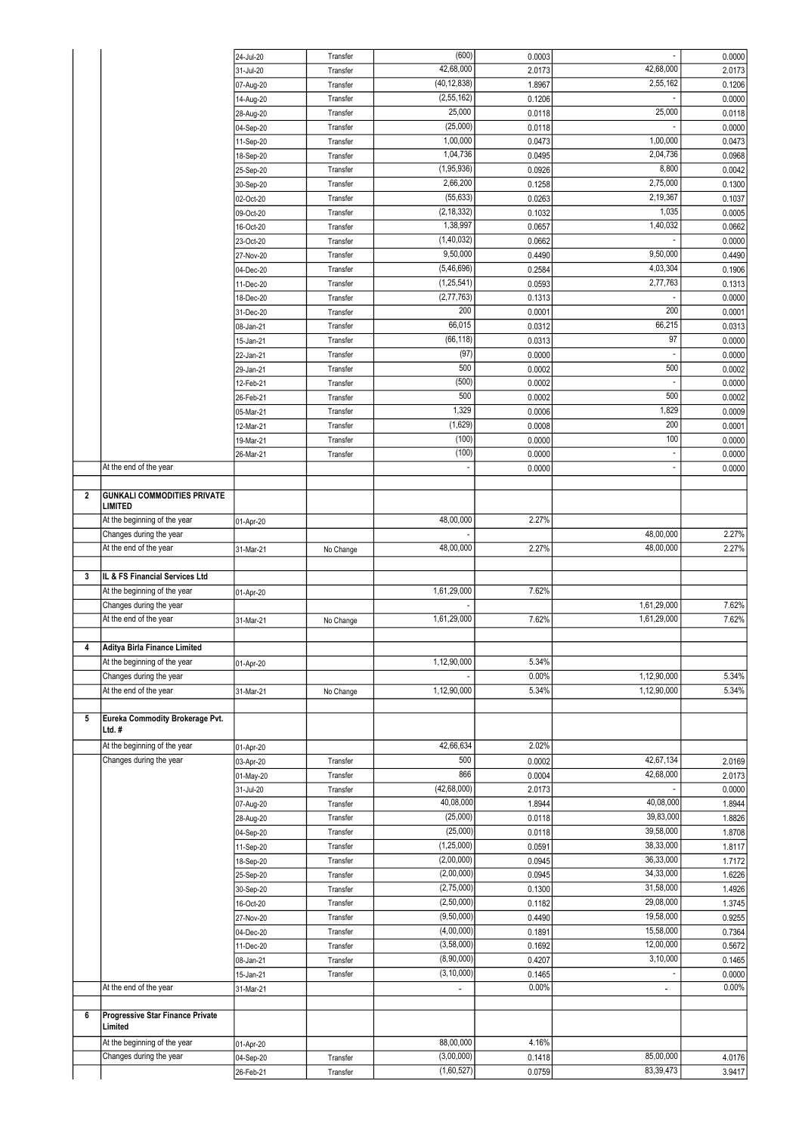|                |                                    | 24-Jul-20              | Transfer             | (600)                    | 0.0003           |                          | 0.0000           |
|----------------|------------------------------------|------------------------|----------------------|--------------------------|------------------|--------------------------|------------------|
|                |                                    | 31-Jul-20              | Transfer             | 42,68,000                | 2.0173           | 42,68,000                | 2.0173           |
|                |                                    | 07-Aug-20              | Transfer             | (40, 12, 838)            | 1.8967           | 2,55,162                 | 0.1206           |
|                |                                    | 14-Aug-20              | Transfer             | (2, 55, 162)             | 0.1206           |                          | 0.0000           |
|                |                                    | 28-Aug-20              | Transfer             | 25,000                   | 0.0118           | 25,000                   | 0.0118           |
|                |                                    | 04-Sep-20              | Transfer             | (25,000)                 | 0.0118           |                          | 0.0000           |
|                |                                    | 11-Sep-20              | Transfer             | 1,00,000                 | 0.0473           | 1,00,000                 | 0.0473           |
|                |                                    |                        |                      | 1,04,736                 |                  | 2,04,736                 |                  |
|                |                                    | 18-Sep-20              | Transfer             |                          | 0.0495           | 8,800                    | 0.0968           |
|                |                                    | 25-Sep-20              | Transfer             | (1,95,936)               | 0.0926           |                          | 0.0042           |
|                |                                    | 30-Sep-20              | Transfer             | 2,66,200                 | 0.1258           | 2,75,000                 | 0.1300           |
|                |                                    | 02-Oct-20              | Transfer             | (55, 633)                | 0.0263           | 2,19,367                 | 0.1037           |
|                |                                    | 09-Oct-20              | Transfer             | (2, 18, 332)             | 0.1032           | 1,035                    | 0.0005           |
|                |                                    | 16-Oct-20              | Transfer             | 1,38,997                 | 0.0657           | 1,40,032                 | 0.0662           |
|                |                                    | 23-Oct-20              | Transfer             | (1, 40, 032)             | 0.0662           |                          | 0.0000           |
|                |                                    | 27-Nov-20              | Transfer             | 9,50,000                 | 0.4490           | 9,50,000                 | 0.4490           |
|                |                                    | 04-Dec-20              | Transfer             | (5, 46, 696)             | 0.2584           | 4,03,304                 | 0.1906           |
|                |                                    | 11-Dec-20              | Transfer             | (1, 25, 541)             | 0.0593           | 2,77,763                 | 0.1313           |
|                |                                    | 18-Dec-20              | Transfer             | (2, 77, 763)             | 0.1313           |                          | 0.0000           |
|                |                                    | 31-Dec-20              | Transfer             | 200                      | 0.0001           | 200                      | 0.0001           |
|                |                                    |                        |                      | 66,015                   | 0.0312           | 66,215                   |                  |
|                |                                    | 08-Jan-21              | Transfer             | (66, 118)                |                  | 97                       | 0.0313           |
|                |                                    | 15-Jan-21              | Transfer             |                          | 0.0313           |                          | 0.0000           |
|                |                                    | 22-Jan-21              | Transfer             | (97)                     | 0.0000           |                          | 0.0000           |
|                |                                    | 29-Jan-21              | Transfer             | 500                      | 0.0002           | 500                      | 0.0002           |
|                |                                    | 12-Feb-21              | Transfer             | (500)                    | 0.0002           |                          | 0.0000           |
|                |                                    | 26-Feb-21              | Transfer             | 500                      | 0.0002           | 500                      | 0.0002           |
|                |                                    | 05-Mar-21              | Transfer             | 1,329                    | 0.0006           | 1,829                    | 0.0009           |
|                |                                    | 12-Mar-21              | Transfer             | (1,629)                  | 0.0008           | 200                      | 0.0001           |
|                |                                    | 19-Mar-21              | Transfer             | (100)                    | 0.0000           | 100                      | 0.0000           |
|                |                                    | 26-Mar-21              | Transfer             | (100)                    | 0.0000           | $\overline{\phantom{a}}$ | 0.0000           |
|                | At the end of the year             |                        |                      |                          | 0.0000           | $\overline{a}$           | 0.0000           |
|                |                                    |                        |                      |                          |                  |                          |                  |
| $\overline{2}$ | <b>GUNKALI COMMODITIES PRIVATE</b> |                        |                      |                          |                  |                          |                  |
|                | <b>LIMITED</b>                     |                        |                      |                          |                  |                          |                  |
|                | At the beginning of the year       | 01-Apr-20              |                      | 48,00,000                | 2.27%            |                          |                  |
|                | Changes during the year            |                        |                      |                          |                  | 48,00,000                | 2.27%            |
|                | At the end of the year             | 31-Mar-21              |                      | 48,00,000                | 2.27%            | 48,00,000                | 2.27%            |
|                |                                    |                        | No Change            |                          |                  |                          |                  |
|                |                                    |                        |                      |                          |                  |                          |                  |
|                |                                    |                        |                      |                          |                  |                          |                  |
| 3              | IL & FS Financial Services Ltd     |                        |                      |                          |                  |                          |                  |
|                | At the beginning of the year       | 01-Apr-20              |                      | 1,61,29,000              | 7.62%            |                          |                  |
|                | Changes during the year            |                        |                      |                          |                  | 1,61,29,000              | 7.62%            |
|                | At the end of the year             | 31-Mar-21              | No Change            | 1,61,29,000              | 7.62%            | 1,61,29,000              | 7.62%            |
|                |                                    |                        |                      |                          |                  |                          |                  |
| 4              | Aditya Birla Finance Limited       |                        |                      |                          |                  |                          |                  |
|                | At the beginning of the year       | 01-Apr-20              |                      | 1,12,90,000              | 5.34%            |                          |                  |
|                | Changes during the year            |                        |                      |                          | 0.00%            | 1,12,90,000              | 5.34%            |
|                | At the end of the year             | 31-Mar-21              | No Change            | 1,12,90,000              | 5.34%            | 1,12,90,000              | 5.34%            |
| 5              | Eureka Commodity Brokerage Pvt.    |                        |                      |                          |                  |                          |                  |
|                | Ltd.#                              |                        |                      |                          |                  |                          |                  |
|                |                                    |                        |                      |                          |                  |                          |                  |
|                | At the beginning of the year       | 01-Apr-20              |                      | 42,66,634                | 2.02%            |                          |                  |
|                | Changes during the year            | 03-Apr-20              | Transfer             | 500                      | 0.0002           | 42,67,134                | 2.0169           |
|                |                                    | 01-May-20              | Transfer             | 866                      | 0.0004           | 42,68,000<br>Ĭ.          | 2.0173           |
|                |                                    | 31-Jul-20              | Transfer             | (42, 68, 000)            | 2.0173           |                          | 0.0000           |
|                |                                    | 07-Aug-20              | Transfer             | 40,08,000                | 1.8944           | 40,08,000                | 1.8944           |
|                |                                    | 28-Aug-20              | Transfer             | (25,000)                 | 0.0118           | 39,83,000                | 1.8826           |
|                |                                    | 04-Sep-20              | Transfer             | (25,000)                 | 0.0118           | 39,58,000                | 1.8708           |
|                |                                    | 11-Sep-20              | Transfer             | (1, 25, 000)             | 0.0591           | 38,33,000                | 1.8117           |
|                |                                    | 18-Sep-20              | Transfer             | (2,00,000)               | 0.0945           | 36,33,000                | 1.7172           |
|                |                                    | 25-Sep-20              | Transfer             | (2,00,000)               | 0.0945           | 34,33,000                | 1.6226           |
|                |                                    | 30-Sep-20              | Transfer             | (2,75,000)               | 0.1300           | 31,58,000                | 1.4926           |
|                |                                    | 16-Oct-20              | Transfer             | (2,50,000)               | 0.1182           | 29,08,000                | 1.3745           |
|                |                                    | 27-Nov-20              | Transfer             | (9,50,000)               | 0.4490           | 19,58,000                | 0.9255           |
|                |                                    | 04-Dec-20              | Transfer             | (4,00,000)               | 0.1891           | 15,58,000                | 0.7364           |
|                |                                    |                        | Transfer             | (3,58,000)               |                  | 12,00,000                |                  |
|                |                                    | 11-Dec-20              |                      |                          | 0.1692           | 3,10,000                 | 0.5672           |
|                |                                    | 08-Jan-21              | Transfer             | (8,90,000)               | 0.4207           |                          | 0.1465           |
|                |                                    | 15-Jan-21              | Transfer             | (3, 10, 000)             | 0.1465           |                          | 0.0000           |
|                | At the end of the year             | 31-Mar-21              |                      |                          | 0.00%            | ۰                        | 0.00%            |
|                |                                    |                        |                      |                          |                  |                          |                  |
| 6              | Progressive Star Finance Private   |                        |                      |                          |                  |                          |                  |
|                | Limited                            |                        |                      |                          |                  |                          |                  |
|                | At the beginning of the year       | 01-Apr-20              |                      | 88,00,000                | 4.16%            |                          |                  |
|                | Changes during the year            | 04-Sep-20<br>26-Feb-21 | Transfer<br>Transfer | (3,00,000)<br>(1,60,527) | 0.1418<br>0.0759 | 85,00,000<br>83,39,473   | 4.0176<br>3.9417 |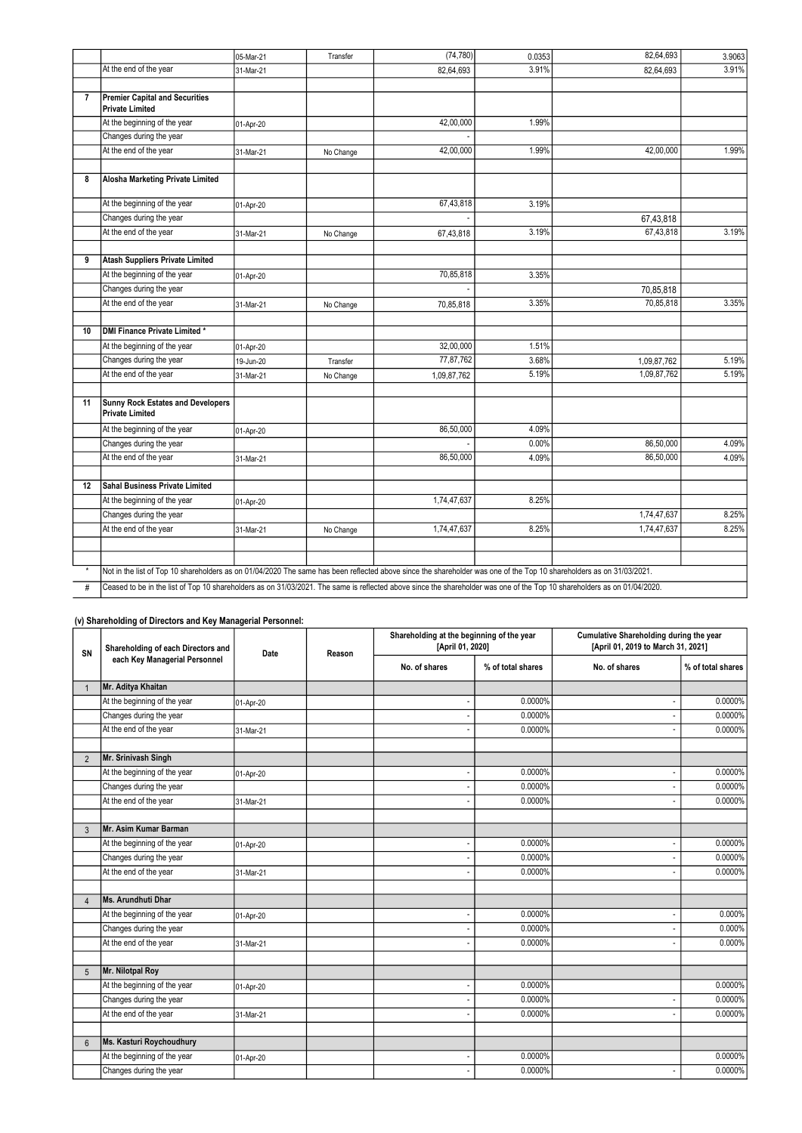|                |                                                                                                                                                                          | 05-Mar-21 | Transfer  | (74, 780)   | 0.0353 | 82,64,693   | 3.9063 |
|----------------|--------------------------------------------------------------------------------------------------------------------------------------------------------------------------|-----------|-----------|-------------|--------|-------------|--------|
|                | At the end of the year                                                                                                                                                   | 31-Mar-21 |           | 82,64,693   | 3.91%  | 82,64,693   | 3.91%  |
|                |                                                                                                                                                                          |           |           |             |        |             |        |
| $\overline{7}$ | <b>Premier Capital and Securities</b><br><b>Private Limited</b>                                                                                                          |           |           |             |        |             |        |
|                | At the beginning of the year                                                                                                                                             | 01-Apr-20 |           | 42,00,000   | 1.99%  |             |        |
|                | Changes during the year                                                                                                                                                  |           |           |             |        |             |        |
|                | At the end of the year                                                                                                                                                   | 31-Mar-21 | No Change | 42,00,000   | 1.99%  | 42,00,000   | 1.99%  |
|                |                                                                                                                                                                          |           |           |             |        |             |        |
| 8              | Alosha Marketing Private Limited                                                                                                                                         |           |           |             |        |             |        |
|                | At the beginning of the year                                                                                                                                             | 01-Apr-20 |           | 67,43,818   | 3.19%  |             |        |
|                | Changes during the year                                                                                                                                                  |           |           |             |        | 67,43,818   |        |
|                | At the end of the year                                                                                                                                                   | 31-Mar-21 | No Change | 67,43,818   | 3.19%  | 67,43,818   | 3.19%  |
|                |                                                                                                                                                                          |           |           |             |        |             |        |
| 9              | <b>Atash Suppliers Private Limited</b>                                                                                                                                   |           |           |             |        |             |        |
|                | At the beginning of the year                                                                                                                                             | 01-Apr-20 |           | 70,85,818   | 3.35%  |             |        |
|                | Changes during the year                                                                                                                                                  |           |           |             |        | 70,85,818   |        |
|                | At the end of the year                                                                                                                                                   | 31-Mar-21 | No Change | 70,85,818   | 3.35%  | 70,85,818   | 3.35%  |
|                |                                                                                                                                                                          |           |           |             |        |             |        |
| 10             | <b>DMI Finance Private Limited*</b>                                                                                                                                      |           |           |             |        |             |        |
|                | At the beginning of the year                                                                                                                                             | 01-Apr-20 |           | 32,00,000   | 1.51%  |             |        |
|                | Changes during the year                                                                                                                                                  | 19-Jun-20 | Transfer  | 77,87,762   | 3.68%  | 1,09,87,762 | 5.19%  |
|                | At the end of the year                                                                                                                                                   | 31-Mar-21 | No Change | 1,09,87,762 | 5.19%  | 1,09,87,762 | 5.19%  |
|                |                                                                                                                                                                          |           |           |             |        |             |        |
| 11             | <b>Sunny Rock Estates and Developers</b><br><b>Private Limited</b>                                                                                                       |           |           |             |        |             |        |
|                | At the beginning of the year                                                                                                                                             | 01-Apr-20 |           | 86,50,000   | 4.09%  |             |        |
|                | Changes during the year                                                                                                                                                  |           |           |             | 0.00%  | 86,50,000   | 4.09%  |
|                | At the end of the year                                                                                                                                                   | 31-Mar-21 |           | 86,50,000   | 4.09%  | 86,50,000   | 4.09%  |
|                |                                                                                                                                                                          |           |           |             |        |             |        |
| 12             | <b>Sahal Business Private Limited</b>                                                                                                                                    |           |           |             |        |             |        |
|                | At the beginning of the year                                                                                                                                             | 01-Apr-20 |           | 1,74,47,637 | 8.25%  |             |        |
|                | Changes during the year                                                                                                                                                  |           |           |             |        | 1,74,47,637 | 8.25%  |
|                | At the end of the year                                                                                                                                                   | 31-Mar-21 | No Change | 1,74,47,637 | 8.25%  | 1,74,47,637 | 8.25%  |
|                |                                                                                                                                                                          |           |           |             |        |             |        |
|                | Not in the list of Top 10 shareholders as on 01/04/2020 The same has been reflected above since the shareholder was one of the Top 10 shareholders as on 31/03/2021.     |           |           |             |        |             |        |
| #              | Ceased to be in the list of Top 10 shareholders as on 31/03/2021. The same is reflected above since the shareholder was one of the Top 10 shareholders as on 01/04/2020. |           |           |             |        |             |        |
|                |                                                                                                                                                                          |           |           |             |        |             |        |

## (v) Shareholding of Directors and Key Managerial Personnel:

| Shareholding of each Directors and<br>SN | Date<br>Reason                | Shareholding at the beginning of the year<br>[April 01, 2020] |  | Cumulative Shareholding during the year<br>[April 01, 2019 to March 31, 2021] |                   |                          |                   |
|------------------------------------------|-------------------------------|---------------------------------------------------------------|--|-------------------------------------------------------------------------------|-------------------|--------------------------|-------------------|
|                                          | each Key Managerial Personnel |                                                               |  | No. of shares                                                                 | % of total shares | No. of shares            | % of total shares |
|                                          | Mr. Aditya Khaitan            |                                                               |  |                                                                               |                   |                          |                   |
|                                          | At the beginning of the year  | 01-Apr-20                                                     |  |                                                                               | 0.0000%           | $\overline{\phantom{a}}$ | 0.0000%           |
|                                          | Changes during the year       |                                                               |  |                                                                               | 0.0000%           | $\overline{\phantom{a}}$ | 0.0000%           |
|                                          | At the end of the year        | 31-Mar-21                                                     |  |                                                                               | 0.0000%           |                          | 0.0000%           |
|                                          |                               |                                                               |  |                                                                               |                   |                          |                   |
| $\overline{2}$                           | Mr. Srinivash Singh           |                                                               |  |                                                                               |                   |                          |                   |
|                                          | At the beginning of the year  | 01-Apr-20                                                     |  |                                                                               | 0.0000%           |                          | 0.0000%           |
|                                          | Changes during the year       |                                                               |  |                                                                               | 0.0000%           |                          | 0.0000%           |
|                                          | At the end of the year        | 31-Mar-21                                                     |  |                                                                               | 0.0000%           | $\overline{\phantom{a}}$ | 0.0000%           |
|                                          |                               |                                                               |  |                                                                               |                   |                          |                   |
| 3                                        | Mr. Asim Kumar Barman         |                                                               |  |                                                                               |                   |                          |                   |
|                                          | At the beginning of the year  | 01-Apr-20                                                     |  |                                                                               | 0.0000%           | $\overline{\phantom{a}}$ | 0.0000%           |
|                                          | Changes during the year       |                                                               |  |                                                                               | 0.0000%           |                          | 0.0000%           |
|                                          | At the end of the year        | 31-Mar-21                                                     |  |                                                                               | 0.0000%           |                          | 0.0000%           |
|                                          |                               |                                                               |  |                                                                               |                   |                          |                   |
| $\Delta$                                 | Ms. Arundhuti Dhar            |                                                               |  |                                                                               |                   |                          |                   |
|                                          | At the beginning of the year  | 01-Apr-20                                                     |  |                                                                               | 0.0000%           |                          | 0.000%            |
|                                          | Changes during the year       |                                                               |  |                                                                               | 0.0000%           |                          | 0.000%            |
|                                          | At the end of the year        | 31-Mar-21                                                     |  |                                                                               | 0.0000%           |                          | 0.000%            |
|                                          |                               |                                                               |  |                                                                               |                   |                          |                   |
| 5                                        | Mr. Nilotpal Roy              |                                                               |  |                                                                               |                   |                          |                   |
|                                          | At the beginning of the year  | 01-Apr-20                                                     |  |                                                                               | 0.0000%           |                          | 0.0000%           |
|                                          | Changes during the year       |                                                               |  |                                                                               | 0.0000%           |                          | 0.0000%           |
|                                          | At the end of the year        | 31-Mar-21                                                     |  |                                                                               | 0.0000%           |                          | 0.0000%           |
|                                          |                               |                                                               |  |                                                                               |                   |                          |                   |
| 6                                        | Ms. Kasturi Roychoudhury      |                                                               |  |                                                                               |                   |                          |                   |
|                                          | At the beginning of the year  | 01-Apr-20                                                     |  |                                                                               | 0.0000%           |                          | 0.0000%           |
|                                          | Changes during the year       |                                                               |  |                                                                               | 0.0000%           |                          | 0.0000%           |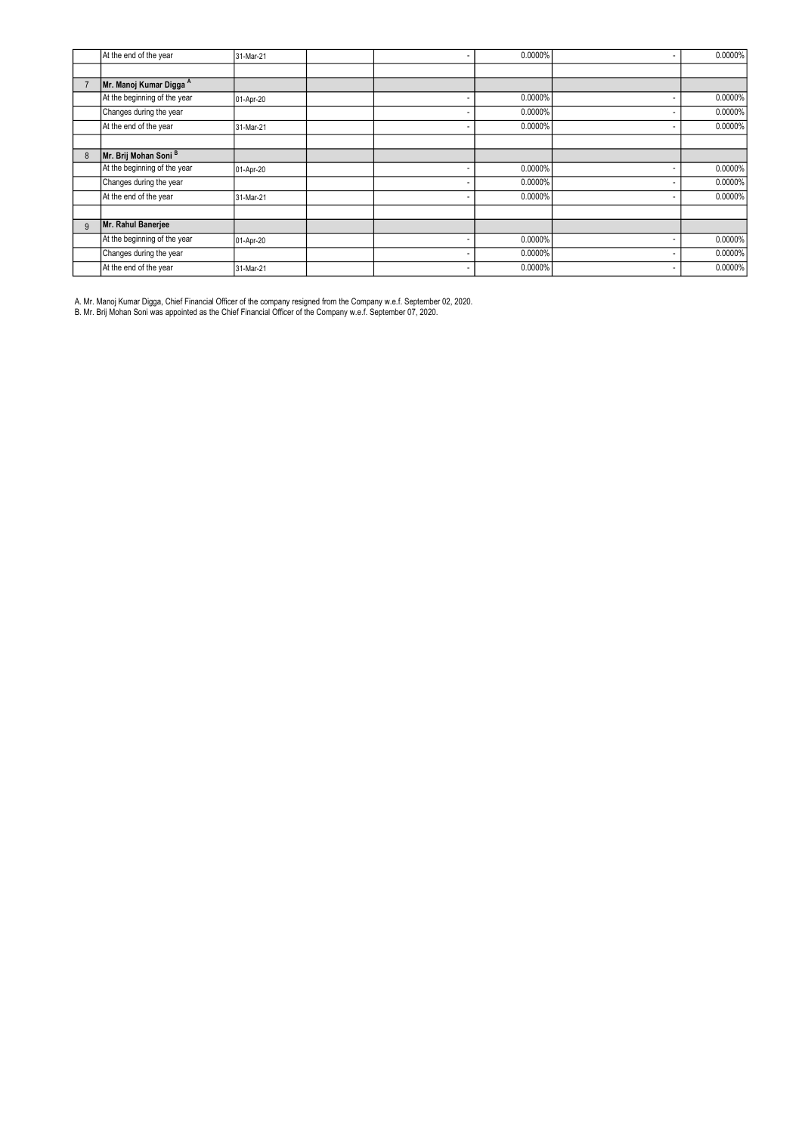|   | At the end of the year       | 31-Mar-21 | $\overline{\phantom{a}}$ | 0.0000% | $\overline{\phantom{a}}$ | 0.0000% |
|---|------------------------------|-----------|--------------------------|---------|--------------------------|---------|
|   |                              |           |                          |         |                          |         |
|   | Mr. Manoj Kumar Digga A      |           |                          |         |                          |         |
|   | At the beginning of the year | 01-Apr-20 | $\overline{\phantom{a}}$ | 0.0000% | $\overline{\phantom{a}}$ | 0.0000% |
|   | Changes during the year      |           |                          | 0.0000% |                          | 0.0000% |
|   | At the end of the year       | 31-Mar-21 |                          | 0.0000% | <b>-</b>                 | 0.0000% |
|   |                              |           |                          |         |                          |         |
| 8 | Mr. Brij Mohan Soni B        |           |                          |         |                          |         |
|   | At the beginning of the year | 01-Apr-20 |                          | 0.0000% | <b>-</b>                 | 0.0000% |
|   | Changes during the year      |           |                          | 0.0000% | <b>-</b>                 | 0.0000% |
|   | At the end of the year       | 31-Mar-21 |                          | 0.0000% | $\overline{\phantom{a}}$ | 0.0000% |
|   |                              |           |                          |         |                          |         |
| 9 | Mr. Rahul Banerjee           |           |                          |         |                          |         |
|   | At the beginning of the year | 01-Apr-20 |                          | 0.0000% | $\overline{\phantom{a}}$ | 0.0000% |
|   | Changes during the year      |           |                          | 0.0000% | <b>-</b>                 | 0.0000% |
|   | At the end of the year       | 31-Mar-21 | $\overline{\phantom{a}}$ | 0.0000% | <b>-</b>                 | 0.0000% |

A. Mr. Manoj Kumar Digga, Chief Financial Officer of the company resigned from the Company w.e.f. September 02, 2020.

B. Mr. Brij Mohan Soni was appointed as the Chief Financial Officer of the Company w.e.f. September 07, 2020.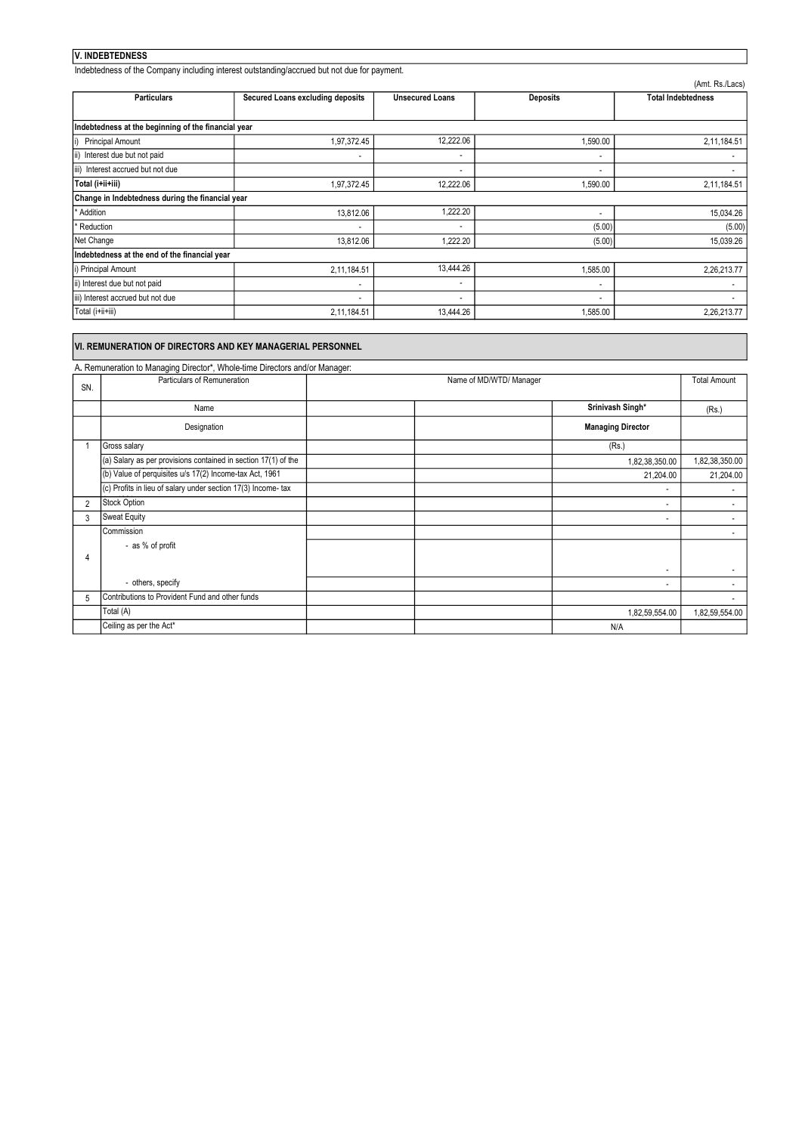#### V. INDEBTEDNESS

Indebtedness of the Company including interest outstanding/accrued but not due for payment.

|                                                     |                                  |                          |                          | (Amt. Rs./Lacs)           |  |  |
|-----------------------------------------------------|----------------------------------|--------------------------|--------------------------|---------------------------|--|--|
| <b>Particulars</b>                                  | Secured Loans excluding deposits | <b>Unsecured Loans</b>   | <b>Deposits</b>          | <b>Total Indebtedness</b> |  |  |
|                                                     |                                  |                          |                          |                           |  |  |
| Indebtedness at the beginning of the financial year |                                  |                          |                          |                           |  |  |
| <b>Principal Amount</b><br>li)                      | 1,97,372.45                      | 12,222.06                | 1,590.00                 | 2,11,184.51               |  |  |
| ii)<br>Interest due but not paid                    |                                  | $\overline{\phantom{a}}$ | ٠                        |                           |  |  |
| iii) Interest accrued but not due                   |                                  |                          |                          |                           |  |  |
| Total (i+ii+iii)                                    | 1,97,372.45                      | 12,222.06                | 1,590.00                 | 2,11,184.51               |  |  |
| Change in Indebtedness during the financial year    |                                  |                          |                          |                           |  |  |
| Addition                                            | 13,812.06                        | 1,222.20                 | $\blacksquare$           | 15,034.26                 |  |  |
| Reduction                                           |                                  | $\overline{\phantom{a}}$ | (5.00)                   | (5.00)                    |  |  |
| Net Change                                          | 13,812.06                        | 1,222.20                 | (5.00)                   | 15,039.26                 |  |  |
| Indebtedness at the end of the financial year       |                                  |                          |                          |                           |  |  |
| i) Principal Amount                                 | 2,11,184.51                      | 13,444.26                | 1,585.00                 | 2,26,213.77               |  |  |
| ii) Interest due but not paid                       | $\overline{\phantom{a}}$         | $\overline{\phantom{a}}$ | $\overline{\phantom{a}}$ |                           |  |  |
| iii) Interest accrued but not due                   | $\overline{\phantom{0}}$         | $\overline{\phantom{a}}$ | $\blacksquare$           |                           |  |  |
| Total (i+ii+iii)                                    | 2,11,184.51                      | 13,444.26                | 1,585.00                 | 2,26,213.77               |  |  |

### VI. REMUNERATION OF DIRECTORS AND KEY MANAGERIAL PERSONNEL

A. Remuneration to Managing Director\*, Whole-time Directors and/or Manager: SN. Total Amount (Rs.) 1,82,38,350.00 21,204.00 - 1990 - 1990 - 1991 - 1992 - 1993<br>1994 - 1994 - 1994 - 1994 - 1994 - 1994 - 1994 - 1994 - 1994 - 1994 - 1994 - 1994 - 1994 - 1994 - 1994 - 1994 2 - 3 - - 100 minutes - 100 minutes - 5 Contributions to Provident Fund and other funds **Contributions in the Contributions of Provident Fund and other funds**  1,82,59,554.00 3 Sweat Equity - 1990 - 1990 - 1990 - 1990 - 1990 - 1990 - 1990 - 1990 - 1990 - 1990 - 1990 - 1990 - 1990 - 1990 - 1990 - 199 (Rs.) 21,204.00 **Commission**  - as % of profit Gross salary (a) Salary as per provisions contained in section 17(1) of the (b) Value of perquisites u/s 17(2) Income-tax Act, 1961 (c) Profits in lieu of salary under section 17(3) Income- tax 2 Stock Option - others, specify - 1990 - 1990 - 1990 - 1990 - 1990 - 1990 - 1990 - 1990 - 1990 - 1990 - 1990 - 1990 - 1990 - 1990 - 1990 - 199 - 1990 - 1990 - 1990 - 1990 - 1990 - 1990 - 1990 - 1990 - 1990 - 1990 - 1990 - 1990 - 1990 - 1990 - 1990 - 199 - 1990 - 1990 - 1990 - 1990 - 1990 - 1990 - 1990 - 1990 - 1990 - 1990 - 1990 - 1990 - 1990 - 1990 - 1990 - 199 Ceiling as per the Act\* 1,82,59,554.00 N/A Name of MD/WTD/ Manager - 1990 - 1990 - 1990 - 1990 - 1990 - 1990 - 1990 - 1990 - 1990 - 1990 - 1990 - 1990 - 1990 - 1990 - 1990 - 199 Total (A) Particulars of Remuneration Name Srinivash Singh\* **Designation Managing Director Number of the Contract of Contract of Contract of Contract of Contract of Contract of Contract of Contract of Contract of Contract of Contract of Contract of Contract of Contract of Contrac** 1 1,82,38,350.00 4